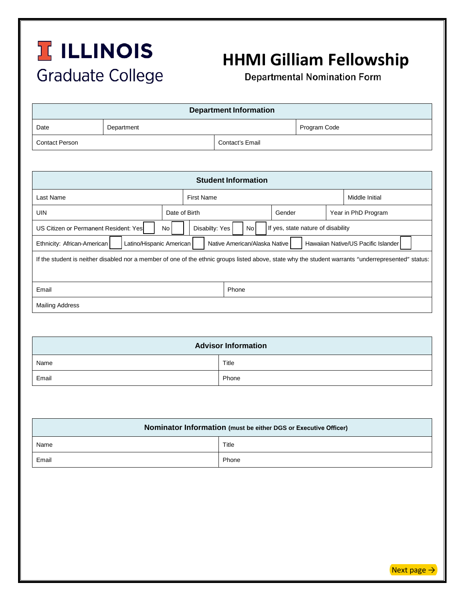## **TILLINOIS Graduate College**

## **HHMI Gilliam Fellowship**

**Departmental Nomination Form** 

| <b>Department Information</b> |            |                 |              |  |  |  |
|-------------------------------|------------|-----------------|--------------|--|--|--|
| Date                          | Department |                 | Program Code |  |  |  |
| <b>Contact Person</b>         |            | Contact's Email |              |  |  |  |

| <b>Student Information</b>                                                                                                                          |                        |                                          |  |                     |                |  |  |  |
|-----------------------------------------------------------------------------------------------------------------------------------------------------|------------------------|------------------------------------------|--|---------------------|----------------|--|--|--|
| Last Name                                                                                                                                           | <b>First Name</b>      |                                          |  |                     | Middle Initial |  |  |  |
| <b>UIN</b>                                                                                                                                          | Date of Birth          |                                          |  | Year in PhD Program |                |  |  |  |
| US Citizen or Permanent Resident: Yes                                                                                                               | Disabilty: Yes<br>No l | If yes, state nature of disability<br>No |  |                     |                |  |  |  |
| Ethnicity: African-American<br>Latino/Hispanic American<br>Native American/Alaska Native<br>Hawaiian Native/US Pacific Islander                     |                        |                                          |  |                     |                |  |  |  |
| If the student is neither disabled nor a member of one of the ethnic groups listed above, state why the student warrants "underrepresented" status: |                        |                                          |  |                     |                |  |  |  |
|                                                                                                                                                     |                        |                                          |  |                     |                |  |  |  |
| Email                                                                                                                                               |                        | Phone                                    |  |                     |                |  |  |  |
| <b>Mailing Address</b>                                                                                                                              |                        |                                          |  |                     |                |  |  |  |

| <b>Advisor Information</b> |       |  |
|----------------------------|-------|--|
| Name                       | Title |  |
| Email                      | Phone |  |

| Nominator Information (must be either DGS or Executive Officer) |       |  |
|-----------------------------------------------------------------|-------|--|
| Name                                                            | Title |  |
| Email                                                           | Phone |  |

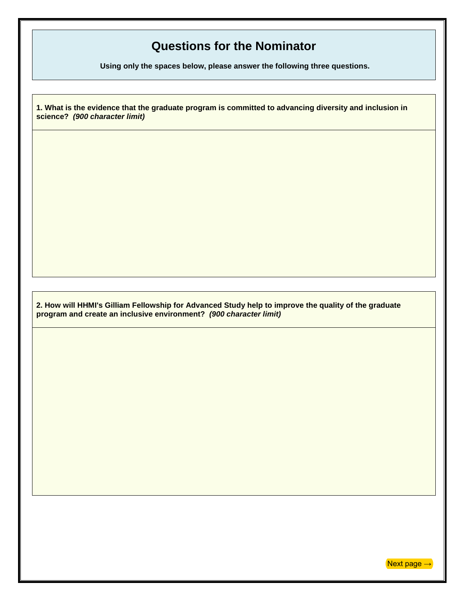## **Questions for the Nominator**

**Using only the spaces below, please answer the following three questions.** 

**1. What is the evidence that the graduate program is committed to advancing diversity and inclusion in science?** *(900 character limit)*

**2. How will HHMI's Gilliam Fellowship for Advanced Study help to improve the quality of the graduate program and create an inclusive environment?** *(900 character limit)*